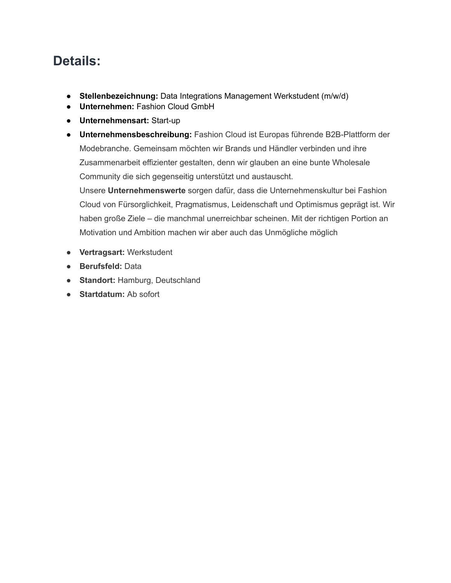# **Details:**

- **Stellenbezeichnung:** Data Integrations Management Werkstudent (m/w/d)
- **Unternehmen:** Fashion Cloud GmbH
- **Unternehmensart:** Start-up
- **Unternehmensbeschreibung:** Fashion Cloud ist Europas führende B2B-Plattform der Modebranche. Gemeinsam möchten wir Brands und Händler verbinden und ihre Zusammenarbeit effizienter gestalten, denn wir glauben an eine bunte Wholesale Community die sich gegenseitig unterstützt und austauscht.

Unsere **Unternehmenswerte** sorgen dafür, dass die Unternehmenskultur bei Fashion Cloud von Fürsorglichkeit, Pragmatismus, Leidenschaft und Optimismus geprägt ist. Wir haben große Ziele – die manchmal unerreichbar scheinen. Mit der richtigen Portion an Motivation und Ambition machen wir aber auch das Unmögliche möglich

- **Vertragsart:** Werkstudent
- **Berufsfeld:** Data
- **Standort:** Hamburg, Deutschland
- **Startdatum:** Ab sofort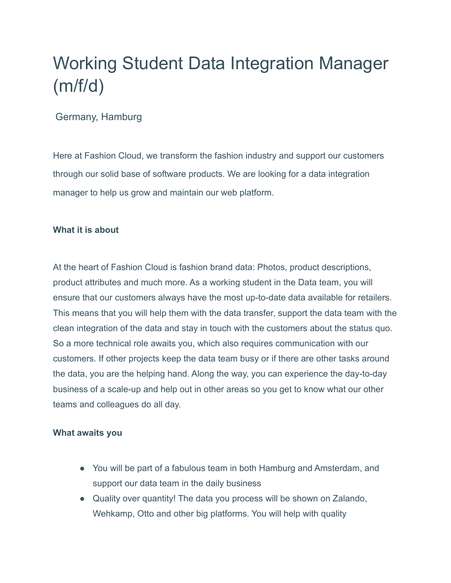# Working Student Data Integration Manager (m/f/d)

## Germany, Hamburg

Here at Fashion Cloud, we transform the fashion industry and support our customers through our solid base of software products. We are looking for a data integration manager to help us grow and maintain our web platform.

#### **What it is about**

At the heart of Fashion Cloud is fashion brand data: Photos, product descriptions, product attributes and much more. As a working student in the Data team, you will ensure that our customers always have the most up-to-date data available for retailers. This means that you will help them with the data transfer, support the data team with the clean integration of the data and stay in touch with the customers about the status quo. So a more technical role awaits you, which also requires communication with our customers. If other projects keep the data team busy or if there are other tasks around the data, you are the helping hand. Along the way, you can experience the day-to-day business of a scale-up and help out in other areas so you get to know what our other teams and colleagues do all day.

#### **What awaits you**

- You will be part of a fabulous team in both Hamburg and Amsterdam, and support our data team in the daily business
- Quality over quantity! The data you process will be shown on Zalando, Wehkamp, Otto and other big platforms. You will help with quality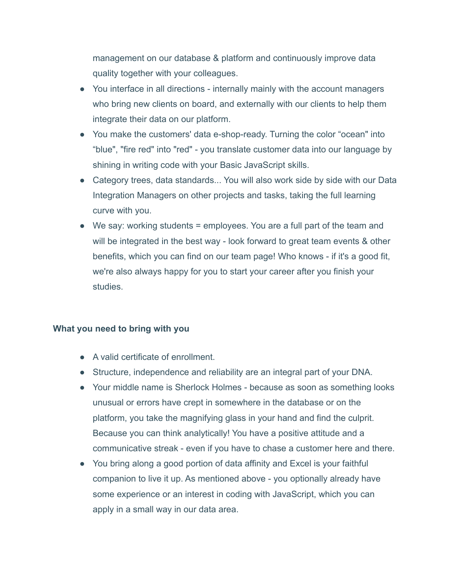management on our database & platform and continuously improve data quality together with your colleagues.

- You interface in all directions internally mainly with the account managers who bring new clients on board, and externally with our clients to help them integrate their data on our platform.
- You make the customers' data e-shop-ready. Turning the color "ocean" into "blue", "fire red" into "red" - you translate customer data into our language by shining in writing code with your Basic JavaScript skills.
- Category trees, data standards... You will also work side by side with our Data Integration Managers on other projects and tasks, taking the full learning curve with you.
- We say: working students = employees. You are a full part of the team and will be integrated in the best way - look forward to great team events & other benefits, which you can find on our team page! Who knows - if it's a good fit, we're also always happy for you to start your career after you finish your studies.

#### **What you need to bring with you**

- A valid certificate of enrollment.
- Structure, independence and reliability are an integral part of your DNA.
- Your middle name is Sherlock Holmes because as soon as something looks unusual or errors have crept in somewhere in the database or on the platform, you take the magnifying glass in your hand and find the culprit. Because you can think analytically! You have a positive attitude and a communicative streak - even if you have to chase a customer here and there.
- You bring along a good portion of data affinity and Excel is your faithful companion to live it up. As mentioned above - you optionally already have some experience or an interest in coding with JavaScript, which you can apply in a small way in our data area.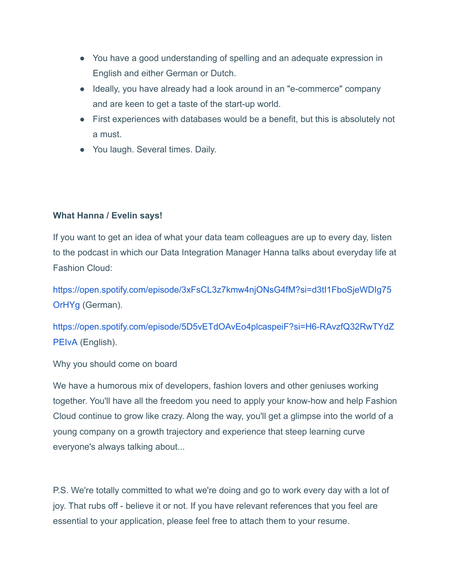- You have a good understanding of spelling and an adequate expression in English and either German or Dutch.
- Ideally, you have already had a look around in an "e-commerce" company and are keen to get a taste of the start-up world.
- First experiences with databases would be a benefit, but this is absolutely not a must.
- You laugh. Several times. Daily.

### **What Hanna / Evelin says!**

If you want to get an idea of what your data team colleagues are up to every day, listen to the podcast in which our Data Integration Manager Hanna talks about everyday life at Fashion Cloud:

[https://open.spotify.com/episode/3xFsCL3z7kmw4njONsG4fM?si=d3tI1FboSjeWDIg75](https://open.spotify.com/episode/3xFsCL3z7kmw4njONsG4fM?si=d3tI1FboSjeWDIg75OrHYg) [OrHYg](https://open.spotify.com/episode/3xFsCL3z7kmw4njONsG4fM?si=d3tI1FboSjeWDIg75OrHYg) (German).

[https://open.spotify.com/episode/5D5vETdOAvEo4plcaspeiF?si=H6-RAvzfQ32RwTYdZ](https://open.spotify.com/episode/5D5vETdOAvEo4plcaspeiF?si=H6-RAvzfQ32RwTYdZPEIvA) [PEIvA](https://open.spotify.com/episode/5D5vETdOAvEo4plcaspeiF?si=H6-RAvzfQ32RwTYdZPEIvA) (English).

Why you should come on board

We have a humorous mix of developers, fashion lovers and other geniuses working together. You'll have all the freedom you need to apply your know-how and help Fashion Cloud continue to grow like crazy. Along the way, you'll get a glimpse into the world of a young company on a growth trajectory and experience that steep learning curve everyone's always talking about...

P.S. We're totally committed to what we're doing and go to work every day with a lot of joy. That rubs off - believe it or not. If you have relevant references that you feel are essential to your application, please feel free to attach them to your resume.